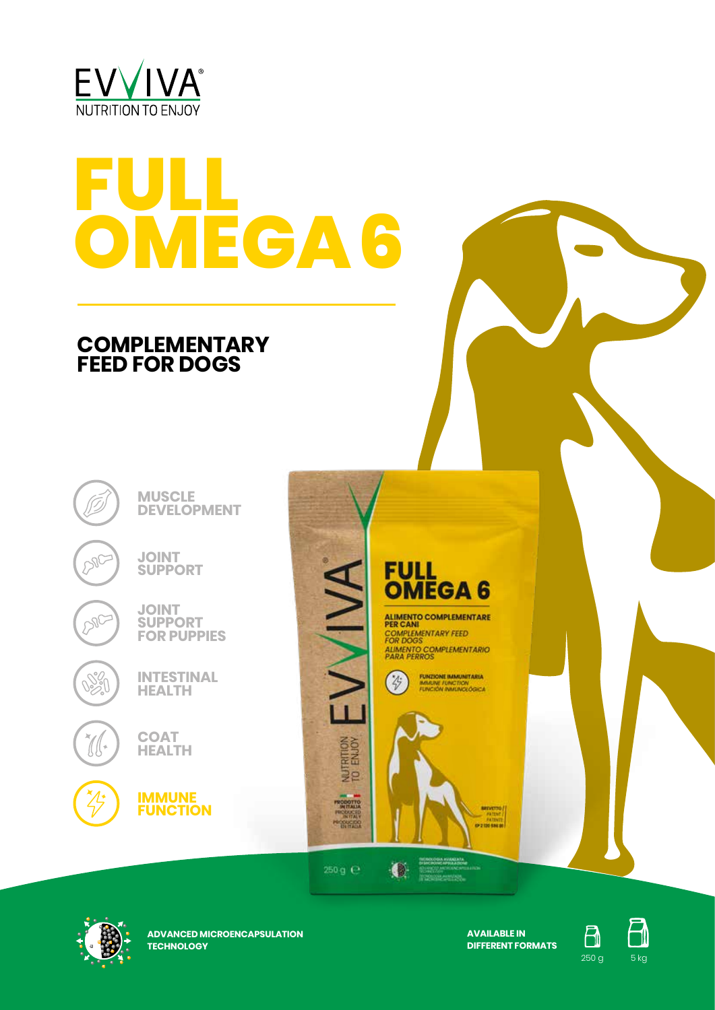

# **FULL OMEGA 6**

## **COMPLEMENTARY FEED FOR DOGS**

**MUSCLE DEVELOPMENT**

**JOINT SUPPORT**



IJ u

**POC** 

**JOINT SUPPORT FOR PUPPIES**



**COAT HEALTH**



EVVIVA FOR DOGS<br>ALIMENTO COMPLEMENTARIO<br>PARA PERROS **FUNZIONE IMMUNITARIA**<br>IMMUNE FUNCTION<br>FUNCIÓN IMMUNICIÓGICA  $\circledR$ 

**FULL** 

**OMEGA6** 

ALIMENTO COMPLEMENTARE<br>PER CANI COMPLEMENTARY FEED



250 g  $\Theta$ 

NUTRITION<br>TO ENJOY

PRODUCED<br>PRODUCED<br>PRODUCED

 $\bullet$ 



**ADVANCED MICROENCAPSULATION TECHNOLOGY**

**AVAILABLE IN DIFFERENT FORMATS**